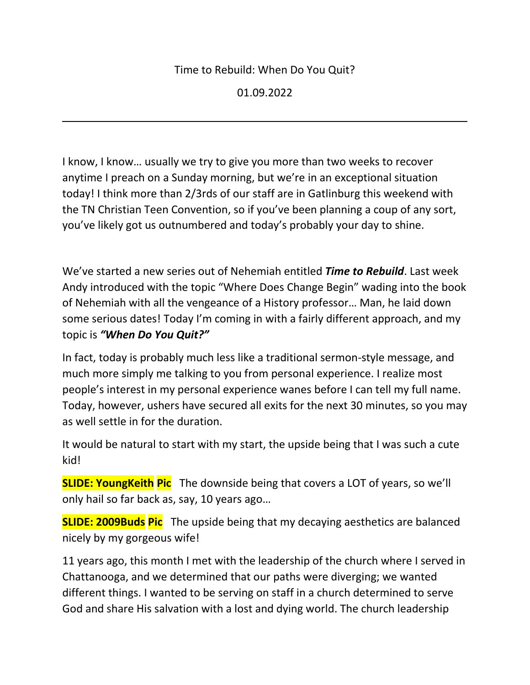#### Time to Rebuild: When Do You Quit?

01.09.2022

I know, I know… usually we try to give you more than two weeks to recover anytime I preach on a Sunday morning, but we're in an exceptional situation today! I think more than 2/3rds of our staff are in Gatlinburg this weekend with the TN Christian Teen Convention, so if you've been planning a coup of any sort, you've likely got us outnumbered and today's probably your day to shine.

We've started a new series out of Nehemiah entitled *Time to Rebuild*. Last week Andy introduced with the topic "Where Does Change Begin" wading into the book of Nehemiah with all the vengeance of a History professor… Man, he laid down some serious dates! Today I'm coming in with a fairly different approach, and my topic is *"When Do You Quit?"*

In fact, today is probably much less like a traditional sermon-style message, and much more simply me talking to you from personal experience. I realize most people's interest in my personal experience wanes before I can tell my full name. Today, however, ushers have secured all exits for the next 30 minutes, so you may as well settle in for the duration.

It would be natural to start with my start, the upside being that I was such a cute kid!

**SLIDE: YoungKeith Pic** The downside being that covers a LOT of years, so we'll only hail so far back as, say, 10 years ago…

**SLIDE: 2009Buds Pic** The upside being that my decaying aesthetics are balanced nicely by my gorgeous wife!

11 years ago, this month I met with the leadership of the church where I served in Chattanooga, and we determined that our paths were diverging; we wanted different things. I wanted to be serving on staff in a church determined to serve God and share His salvation with a lost and dying world. The church leadership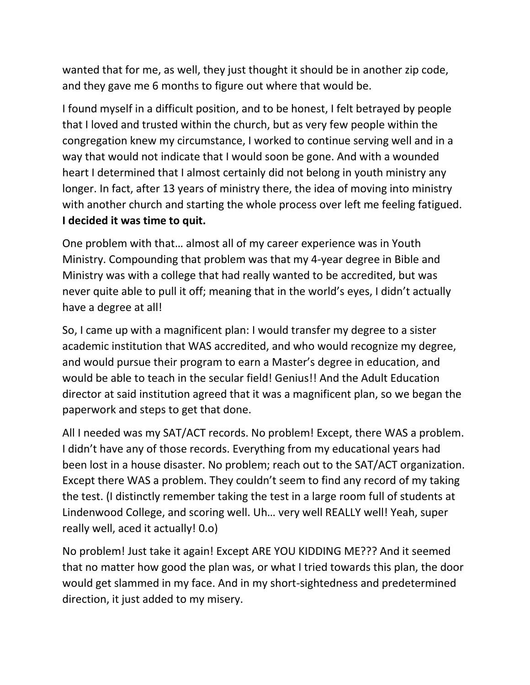wanted that for me, as well, they just thought it should be in another zip code, and they gave me 6 months to figure out where that would be.

I found myself in a difficult position, and to be honest, I felt betrayed by people that I loved and trusted within the church, but as very few people within the congregation knew my circumstance, I worked to continue serving well and in a way that would not indicate that I would soon be gone. And with a wounded heart I determined that I almost certainly did not belong in youth ministry any longer. In fact, after 13 years of ministry there, the idea of moving into ministry with another church and starting the whole process over left me feeling fatigued. **I decided it was time to quit.**

One problem with that… almost all of my career experience was in Youth Ministry. Compounding that problem was that my 4-year degree in Bible and Ministry was with a college that had really wanted to be accredited, but was never quite able to pull it off; meaning that in the world's eyes, I didn't actually have a degree at all!

So, I came up with a magnificent plan: I would transfer my degree to a sister academic institution that WAS accredited, and who would recognize my degree, and would pursue their program to earn a Master's degree in education, and would be able to teach in the secular field! Genius!! And the Adult Education director at said institution agreed that it was a magnificent plan, so we began the paperwork and steps to get that done.

All I needed was my SAT/ACT records. No problem! Except, there WAS a problem. I didn't have any of those records. Everything from my educational years had been lost in a house disaster. No problem; reach out to the SAT/ACT organization. Except there WAS a problem. They couldn't seem to find any record of my taking the test. (I distinctly remember taking the test in a large room full of students at Lindenwood College, and scoring well. Uh… very well REALLY well! Yeah, super really well, aced it actually! 0.o)

No problem! Just take it again! Except ARE YOU KIDDING ME??? And it seemed that no matter how good the plan was, or what I tried towards this plan, the door would get slammed in my face. And in my short-sightedness and predetermined direction, it just added to my misery.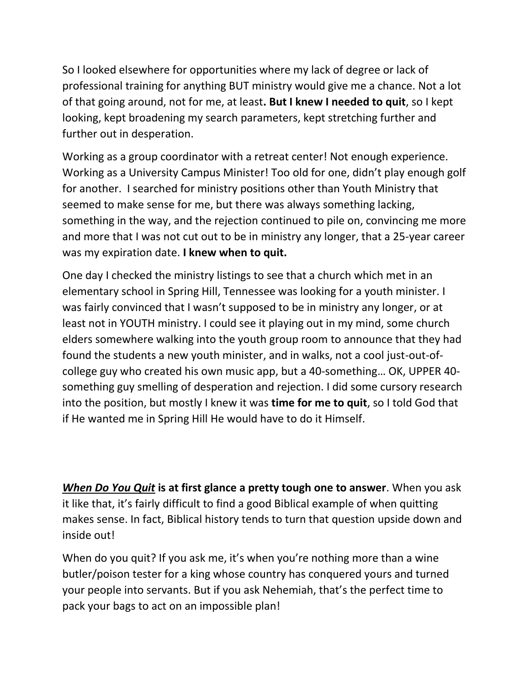So I looked elsewhere for opportunities where my lack of degree or lack of professional training for anything BUT ministry would give me a chance. Not a lot of that going around, not for me, at least**. But I knew I needed to quit**, so I kept looking, kept broadening my search parameters, kept stretching further and further out in desperation.

Working as a group coordinator with a retreat center! Not enough experience. Working as a University Campus Minister! Too old for one, didn't play enough golf for another. I searched for ministry positions other than Youth Ministry that seemed to make sense for me, but there was always something lacking, something in the way, and the rejection continued to pile on, convincing me more and more that I was not cut out to be in ministry any longer, that a 25-year career was my expiration date. **I knew when to quit.**

One day I checked the ministry listings to see that a church which met in an elementary school in Spring Hill, Tennessee was looking for a youth minister. I was fairly convinced that I wasn't supposed to be in ministry any longer, or at least not in YOUTH ministry. I could see it playing out in my mind, some church elders somewhere walking into the youth group room to announce that they had found the students a new youth minister, and in walks, not a cool just-out-ofcollege guy who created his own music app, but a 40-something… OK, UPPER 40 something guy smelling of desperation and rejection. I did some cursory research into the position, but mostly I knew it was **time for me to quit**, so I told God that if He wanted me in Spring Hill He would have to do it Himself.

*When Do You Quit* **is at first glance a pretty tough one to answer**. When you ask it like that, it's fairly difficult to find a good Biblical example of when quitting makes sense. In fact, Biblical history tends to turn that question upside down and inside out!

When do you quit? If you ask me, it's when you're nothing more than a wine butler/poison tester for a king whose country has conquered yours and turned your people into servants. But if you ask Nehemiah, that's the perfect time to pack your bags to act on an impossible plan!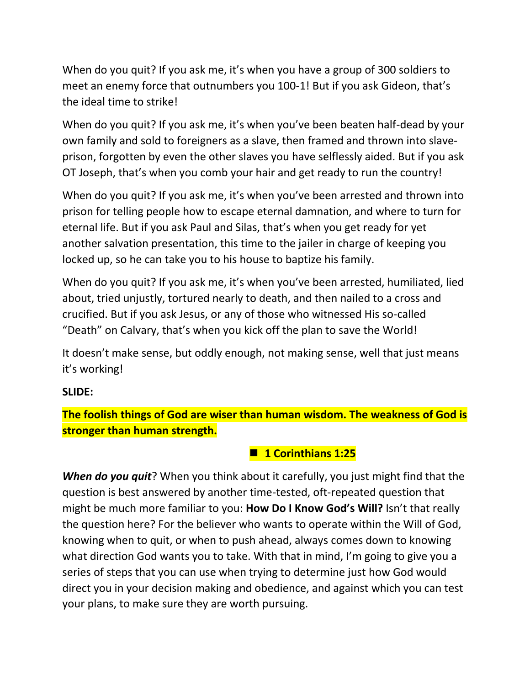When do you quit? If you ask me, it's when you have a group of 300 soldiers to meet an enemy force that outnumbers you 100-1! But if you ask Gideon, that's the ideal time to strike!

When do you quit? If you ask me, it's when you've been beaten half-dead by your own family and sold to foreigners as a slave, then framed and thrown into slaveprison, forgotten by even the other slaves you have selflessly aided. But if you ask OT Joseph, that's when you comb your hair and get ready to run the country!

When do you quit? If you ask me, it's when you've been arrested and thrown into prison for telling people how to escape eternal damnation, and where to turn for eternal life. But if you ask Paul and Silas, that's when you get ready for yet another salvation presentation, this time to the jailer in charge of keeping you locked up, so he can take you to his house to baptize his family.

When do you quit? If you ask me, it's when you've been arrested, humiliated, lied about, tried unjustly, tortured nearly to death, and then nailed to a cross and crucified. But if you ask Jesus, or any of those who witnessed His so-called "Death" on Calvary, that's when you kick off the plan to save the World!

It doesn't make sense, but oddly enough, not making sense, well that just means it's working!

#### **SLIDE:**

**The foolish things of God are wiser than human wisdom. The weakness of God is stronger than human strength.**

#### ■ 1 Corinthians 1:25

*When do you quit*? When you think about it carefully, you just might find that the question is best answered by another time-tested, oft-repeated question that might be much more familiar to you: **How Do I Know God's Will?** Isn't that really the question here? For the believer who wants to operate within the Will of God, knowing when to quit, or when to push ahead, always comes down to knowing what direction God wants you to take. With that in mind, I'm going to give you a series of steps that you can use when trying to determine just how God would direct you in your decision making and obedience, and against which you can test your plans, to make sure they are worth pursuing.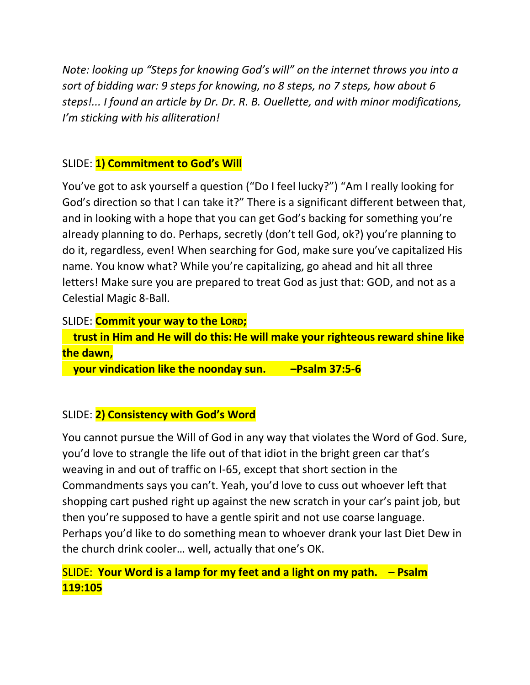*Note: looking up "Steps for knowing God's will" on the internet throws you into a sort of bidding war: 9 steps for knowing, no 8 steps, no 7 steps, how about 6 steps!... I found an article by Dr. Dr. R. B. Ouellette, and with minor modifications, I'm sticking with his alliteration!*

## SLIDE: **1) Commitment to God's Will**

You've got to ask yourself a question ("Do I feel lucky?") "Am I really looking for God's direction so that I can take it?" There is a significant different between that, and in looking with a hope that you can get God's backing for something you're already planning to do. Perhaps, secretly (don't tell God, ok?) you're planning to do it, regardless, even! When searching for God, make sure you've capitalized His name. You know what? While you're capitalizing, go ahead and hit all three letters! Make sure you are prepared to treat God as just that: GOD, and not as a Celestial Magic 8-Ball.

#### SLIDE: **Commit your way to the LORD;**

 **trust in Him and He will do this: He will make your righteous reward shine like the dawn,**

 **your vindication like the noonday sun. –Psalm 37:5-6**

### SLIDE: **2) Consistency with God's Word**

You cannot pursue the Will of God in any way that violates the Word of God. Sure, you'd love to strangle the life out of that idiot in the bright green car that's weaving in and out of traffic on I-65, except that short section in the Commandments says you can't. Yeah, you'd love to cuss out whoever left that shopping cart pushed right up against the new scratch in your car's paint job, but then you're supposed to have a gentle spirit and not use coarse language. Perhaps you'd like to do something mean to whoever drank your last Diet Dew in the church drink cooler… well, actually that one's OK.

# SLIDE: **Your Word is a lamp for my feet and a light on my path. – Psalm 119:105**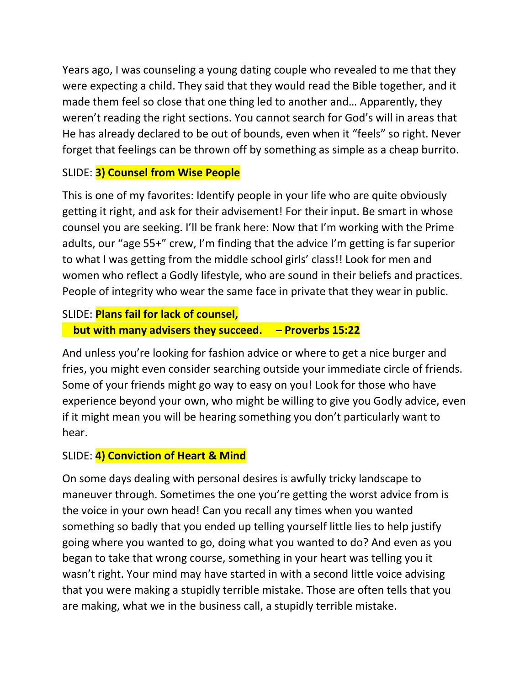Years ago, I was counseling a young dating couple who revealed to me that they were expecting a child. They said that they would read the Bible together, and it made them feel so close that one thing led to another and… Apparently, they weren't reading the right sections. You cannot search for God's will in areas that He has already declared to be out of bounds, even when it "feels" so right. Never forget that feelings can be thrown off by something as simple as a cheap burrito.

### SLIDE: **3) Counsel from Wise People**

This is one of my favorites: Identify people in your life who are quite obviously getting it right, and ask for their advisement! For their input. Be smart in whose counsel you are seeking. I'll be frank here: Now that I'm working with the Prime adults, our "age 55+" crew, I'm finding that the advice I'm getting is far superior to what I was getting from the middle school girls' class!! Look for men and women who reflect a Godly lifestyle, who are sound in their beliefs and practices. People of integrity who wear the same face in private that they wear in public.

### SLIDE: **Plans fail for lack of counsel,**

### **but with many advisers they succeed. – Proverbs 15:22**

And unless you're looking for fashion advice or where to get a nice burger and fries, you might even consider searching outside your immediate circle of friends. Some of your friends might go way to easy on you! Look for those who have experience beyond your own, who might be willing to give you Godly advice, even if it might mean you will be hearing something you don't particularly want to hear.

### SLIDE: **4) Conviction of Heart & Mind**

On some days dealing with personal desires is awfully tricky landscape to maneuver through. Sometimes the one you're getting the worst advice from is the voice in your own head! Can you recall any times when you wanted something so badly that you ended up telling yourself little lies to help justify going where you wanted to go, doing what you wanted to do? And even as you began to take that wrong course, something in your heart was telling you it wasn't right. Your mind may have started in with a second little voice advising that you were making a stupidly terrible mistake. Those are often tells that you are making, what we in the business call, a stupidly terrible mistake.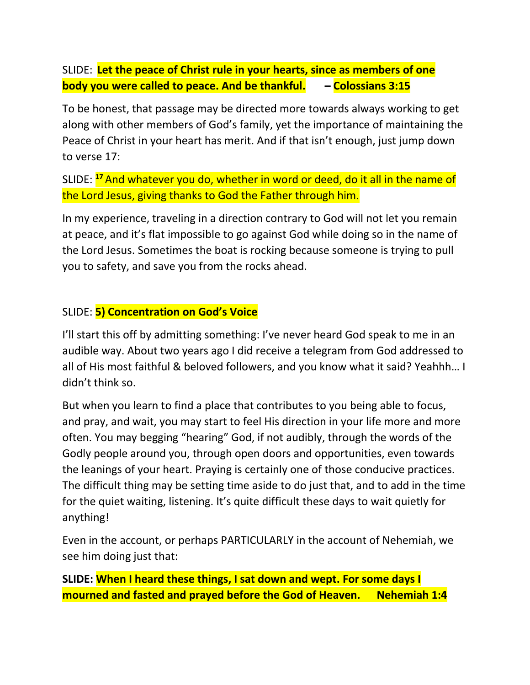SLIDE: **Let the peace of Christ rule in your hearts, since as members of one body you were called to peace. And be thankful. – Colossians 3:15**

To be honest, that passage may be directed more towards always working to get along with other members of God's family, yet the importance of maintaining the Peace of Christ in your heart has merit. And if that isn't enough, just jump down to verse 17:

SLIDE: **<sup>17</sup>** And whatever you do, whether in word or deed, do it all in the name of the Lord Jesus, giving thanks to God the Father through him.

In my experience, traveling in a direction contrary to God will not let you remain at peace, and it's flat impossible to go against God while doing so in the name of the Lord Jesus. Sometimes the boat is rocking because someone is trying to pull you to safety, and save you from the rocks ahead.

#### SLIDE: **5) Concentration on God's Voice**

I'll start this off by admitting something: I've never heard God speak to me in an audible way. About two years ago I did receive a telegram from God addressed to all of His most faithful & beloved followers, and you know what it said? Yeahhh… I didn't think so.

But when you learn to find a place that contributes to you being able to focus, and pray, and wait, you may start to feel His direction in your life more and more often. You may begging "hearing" God, if not audibly, through the words of the Godly people around you, through open doors and opportunities, even towards the leanings of your heart. Praying is certainly one of those conducive practices. The difficult thing may be setting time aside to do just that, and to add in the time for the quiet waiting, listening. It's quite difficult these days to wait quietly for anything!

Even in the account, or perhaps PARTICULARLY in the account of Nehemiah, we see him doing just that:

**SLIDE: When I heard these things, I sat down and wept. For some days I mourned and fasted and prayed before the God of Heaven. Nehemiah 1:4**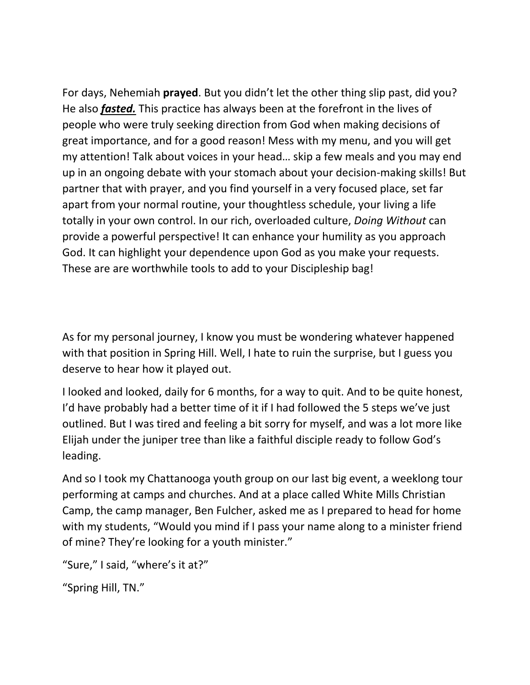For days, Nehemiah **prayed**. But you didn't let the other thing slip past, did you? He also *fasted.* This practice has always been at the forefront in the lives of people who were truly seeking direction from God when making decisions of great importance, and for a good reason! Mess with my menu, and you will get my attention! Talk about voices in your head… skip a few meals and you may end up in an ongoing debate with your stomach about your decision-making skills! But partner that with prayer, and you find yourself in a very focused place, set far apart from your normal routine, your thoughtless schedule, your living a life totally in your own control. In our rich, overloaded culture, *Doing Without* can provide a powerful perspective! It can enhance your humility as you approach God. It can highlight your dependence upon God as you make your requests. These are are worthwhile tools to add to your Discipleship bag!

As for my personal journey, I know you must be wondering whatever happened with that position in Spring Hill. Well, I hate to ruin the surprise, but I guess you deserve to hear how it played out.

I looked and looked, daily for 6 months, for a way to quit. And to be quite honest, I'd have probably had a better time of it if I had followed the 5 steps we've just outlined. But I was tired and feeling a bit sorry for myself, and was a lot more like Elijah under the juniper tree than like a faithful disciple ready to follow God's leading.

And so I took my Chattanooga youth group on our last big event, a weeklong tour performing at camps and churches. And at a place called White Mills Christian Camp, the camp manager, Ben Fulcher, asked me as I prepared to head for home with my students, "Would you mind if I pass your name along to a minister friend of mine? They're looking for a youth minister."

```
"Sure," I said, "where's it at?"
```

```
"Spring Hill, TN."
```